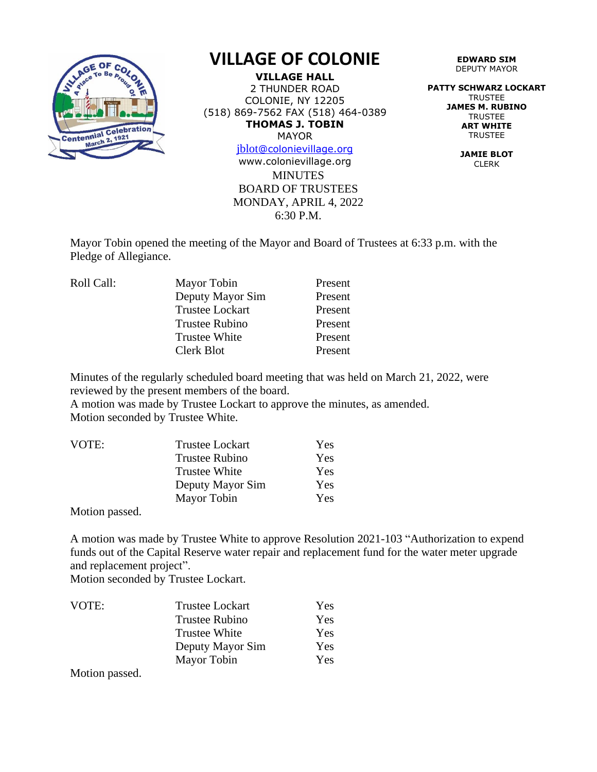

## **VILLAGE OF COLONIE**

**VILLAGE HALL** 2 THUNDER ROAD COLONIE, NY 12205 (518) 869-7562 FAX (518) 464-0389 **THOMAS J. TOBIN** MAYOR

[jblot](mailto:jblot@colonievillage.org)[@colonievillage.org](mailto:jblot@colonievillage.org)

**MINUTES** BOARD OF TRUSTEES MONDAY, APRIL 4, 2022 6:30 P.M. www.colonievillage.org

**EDWARD SIM** DEPUTY MAYOR

**PATTY SCHWARZ LOCKART** TRUSTEE **JAMES M. RUBINO TRUSTEE ART WHITE** TRUSTEE

> **JAMIE BLOT** CLERK

Mayor Tobin opened the meeting of the Mayor and Board of Trustees at 6:33 p.m. with the Pledge of Allegiance.

| Mayor Tobin            | Present |
|------------------------|---------|
| Deputy Mayor Sim       | Present |
| <b>Trustee Lockart</b> | Present |
| <b>Trustee Rubino</b>  | Present |
| <b>Trustee White</b>   | Present |
| Clerk Blot             | Present |
|                        |         |

Minutes of the regularly scheduled board meeting that was held on March 21, 2022, were reviewed by the present members of the board.

A motion was made by Trustee Lockart to approve the minutes, as amended. Motion seconded by Trustee White.

| VOTE: | <b>Trustee Lockart</b> | Yes |
|-------|------------------------|-----|
|       | <b>Trustee Rubino</b>  | Yes |
|       | Trustee White          | Yes |
|       | Deputy Mayor Sim       | Yes |
|       | Mayor Tobin            | Yes |

Motion passed.

A motion was made by Trustee White to approve Resolution 2021-103 "Authorization to expend funds out of the Capital Reserve water repair and replacement fund for the water meter upgrade and replacement project".

Motion seconded by Trustee Lockart.

| VOTE: | <b>Trustee Lockart</b> | Yes.       |
|-------|------------------------|------------|
|       | <b>Trustee Rubino</b>  | <b>Yes</b> |
|       | <b>Trustee White</b>   | <b>Yes</b> |
|       | Deputy Mayor Sim       | <b>Yes</b> |
|       | Mayor Tobin            | Yes        |

Motion passed.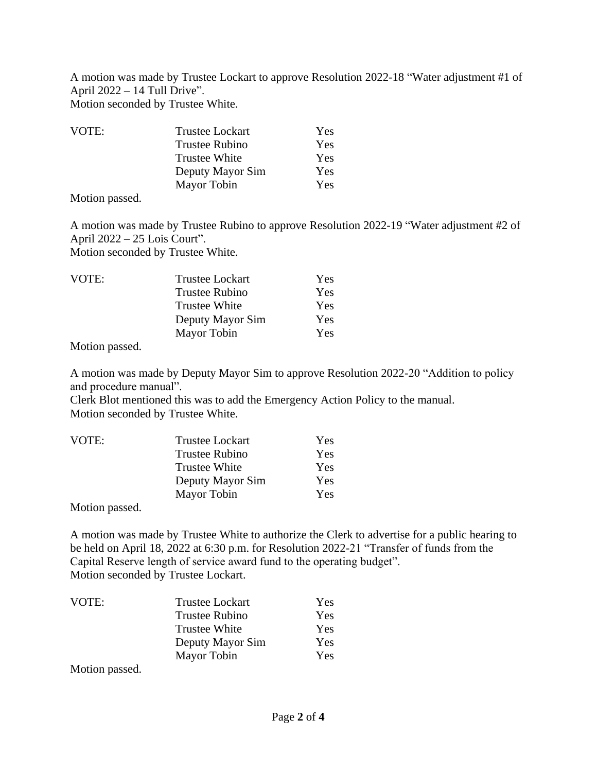A motion was made by Trustee Lockart to approve Resolution 2022-18 "Water adjustment #1 of April 2022 – 14 Tull Drive".

Motion seconded by Trustee White.

| VOTE: | <b>Trustee Lockart</b> | <b>Yes</b> |
|-------|------------------------|------------|
|       | <b>Trustee Rubino</b>  | Yes        |
|       | <b>Trustee White</b>   | <b>Yes</b> |
|       | Deputy Mayor Sim       | Yes        |
|       | Mayor Tobin            | <b>Yes</b> |

Motion passed.

A motion was made by Trustee Rubino to approve Resolution 2022-19 "Water adjustment #2 of April 2022 – 25 Lois Court". Motion seconded by Trustee White.

| VOTE: | <b>Trustee Lockart</b> | Yes |
|-------|------------------------|-----|
|       | Trustee Rubino         | Yes |
|       | <b>Trustee White</b>   | Yes |
|       | Deputy Mayor Sim       | Yes |
|       | Mayor Tobin            | Yes |

Motion passed.

A motion was made by Deputy Mayor Sim to approve Resolution 2022-20 "Addition to policy and procedure manual".

Clerk Blot mentioned this was to add the Emergency Action Policy to the manual. Motion seconded by Trustee White.

| VOTE: | <b>Trustee Lockart</b> | <b>Yes</b> |
|-------|------------------------|------------|
|       | <b>Trustee Rubino</b>  | Yes        |
|       | <b>Trustee White</b>   | <b>Yes</b> |
|       | Deputy Mayor Sim       | <b>Yes</b> |
|       | Mayor Tobin            | <b>Yes</b> |
|       |                        |            |

Motion passed.

A motion was made by Trustee White to authorize the Clerk to advertise for a public hearing to be held on April 18, 2022 at 6:30 p.m. for Resolution 2022-21 "Transfer of funds from the Capital Reserve length of service award fund to the operating budget". Motion seconded by Trustee Lockart.

| VOTE: | <b>Trustee Lockart</b> | Yes |
|-------|------------------------|-----|
|       | <b>Trustee Rubino</b>  | Yes |
|       | <b>Trustee White</b>   | Yes |
|       | Deputy Mayor Sim       | Yes |
|       | Mayor Tobin            | Yes |

Motion passed.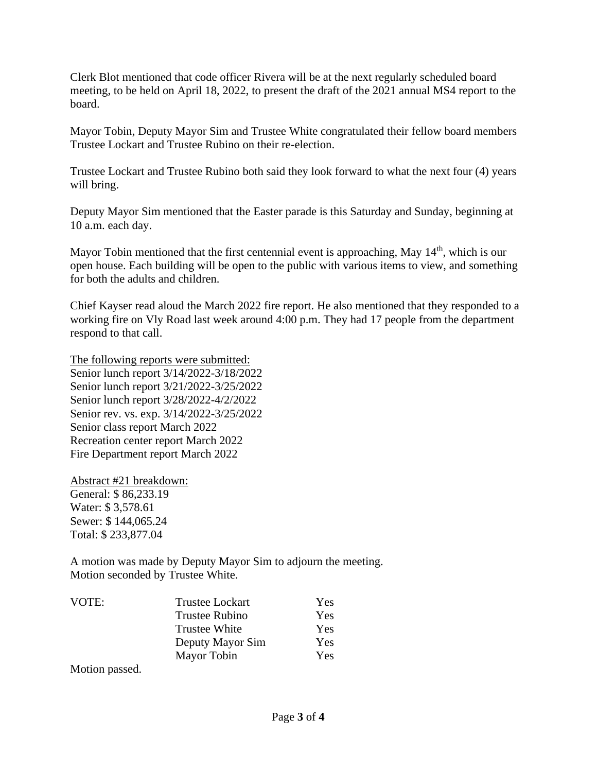Clerk Blot mentioned that code officer Rivera will be at the next regularly scheduled board meeting, to be held on April 18, 2022, to present the draft of the 2021 annual MS4 report to the board.

Mayor Tobin, Deputy Mayor Sim and Trustee White congratulated their fellow board members Trustee Lockart and Trustee Rubino on their re-election.

Trustee Lockart and Trustee Rubino both said they look forward to what the next four (4) years will bring.

Deputy Mayor Sim mentioned that the Easter parade is this Saturday and Sunday, beginning at 10 a.m. each day.

Mayor Tobin mentioned that the first centennial event is approaching, May 14<sup>th</sup>, which is our open house. Each building will be open to the public with various items to view, and something for both the adults and children.

Chief Kayser read aloud the March 2022 fire report. He also mentioned that they responded to a working fire on Vly Road last week around 4:00 p.m. They had 17 people from the department respond to that call.

The following reports were submitted: Senior lunch report 3/14/2022-3/18/2022 Senior lunch report 3/21/2022-3/25/2022 Senior lunch report 3/28/2022-4/2/2022 Senior rev. vs. exp. 3/14/2022-3/25/2022 Senior class report March 2022 Recreation center report March 2022 Fire Department report March 2022

Abstract #21 breakdown: General: \$ 86,233.19 Water: \$ 3,578.61 Sewer: \$ 144,065.24 Total: \$ 233,877.04

A motion was made by Deputy Mayor Sim to adjourn the meeting. Motion seconded by Trustee White.

| <b>Trustee Lockart</b> | Yes |
|------------------------|-----|
| <b>Trustee Rubino</b>  | Yes |
| <b>Trustee White</b>   | Yes |
| Deputy Mayor Sim       | Yes |
| Mayor Tobin            | Yes |
|                        |     |

Motion passed.